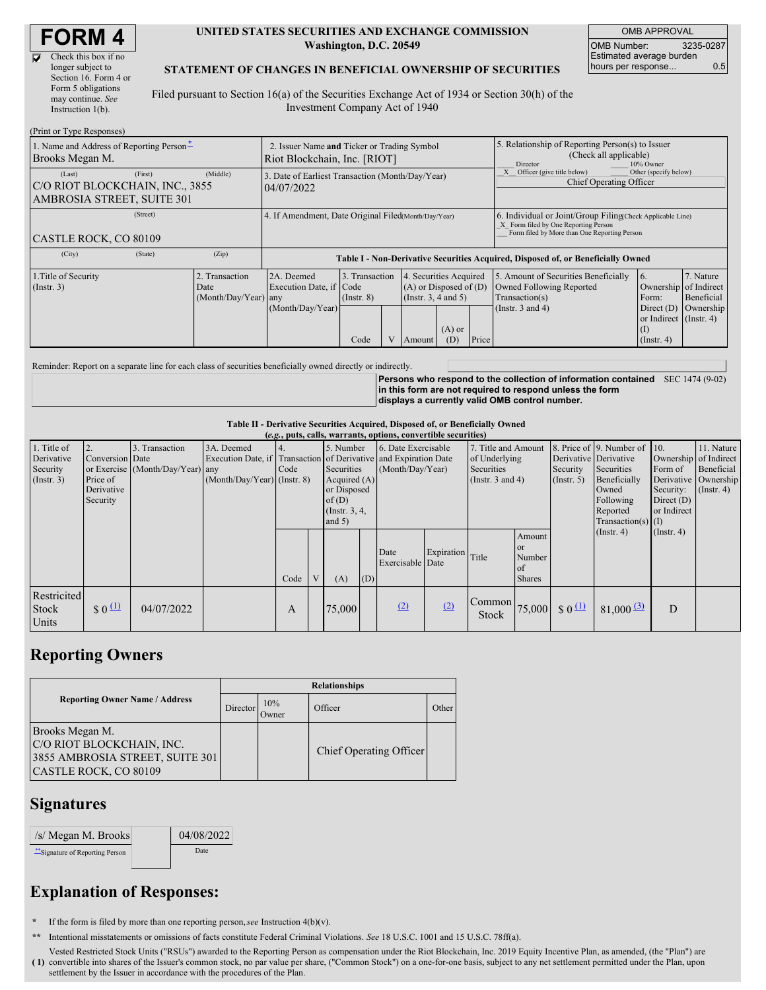Īv

| Check this box if no  |
|-----------------------|
| longer subject to     |
| Section 16. Form 4 or |
| Form 5 obligations    |
| may continue. See     |
| Instruction $1(b)$ .  |
|                       |

#### **UNITED STATES SECURITIES AND EXCHANGE COMMISSION Washington, D.C. 20549**

OMB APPROVAL OMB Number: 3235-0287 Estimated average burden hours per response... 0.5

### **STATEMENT OF CHANGES IN BENEFICIAL OWNERSHIP OF SECURITIES**

Filed pursuant to Section 16(a) of the Securities Exchange Act of 1934 or Section 30(h) of the Investment Company Act of 1940

| (Print or Type Responses)                                                          |                                                                             |                                                                                  |                                   |  |                                                                                                     |                                                                                                                                                    |                                                                                                             |                                                                                        |                                      |  |  |
|------------------------------------------------------------------------------------|-----------------------------------------------------------------------------|----------------------------------------------------------------------------------|-----------------------------------|--|-----------------------------------------------------------------------------------------------------|----------------------------------------------------------------------------------------------------------------------------------------------------|-------------------------------------------------------------------------------------------------------------|----------------------------------------------------------------------------------------|--------------------------------------|--|--|
| 1. Name and Address of Reporting Person-<br>Brooks Megan M.                        | 2. Issuer Name and Ticker or Trading Symbol<br>Riot Blockchain, Inc. [RIOT] |                                                                                  |                                   |  | 5. Relationship of Reporting Person(s) to Issuer<br>(Check all applicable)<br>Director<br>10% Owner |                                                                                                                                                    |                                                                                                             |                                                                                        |                                      |  |  |
| (Last)<br>(First)<br>C/O RIOT BLOCKCHAIN, INC., 3855<br>AMBROSIA STREET, SUITE 301 | (Middle)                                                                    | 3. Date of Earliest Transaction (Month/Day/Year)<br>04/07/2022                   |                                   |  |                                                                                                     | Officer (give title below)<br>Other (specify below)<br>Chief Operating Officer                                                                     |                                                                                                             |                                                                                        |                                      |  |  |
| (Street)<br><b>CASTLE ROCK, CO 80109</b>                                           |                                                                             | 4. If Amendment, Date Original Filed Month/Day/Year)                             |                                   |  |                                                                                                     | 6. Individual or Joint/Group Filing Check Applicable Line)<br>X Form filed by One Reporting Person<br>Form filed by More than One Reporting Person |                                                                                                             |                                                                                        |                                      |  |  |
| (City)<br>(State)                                                                  | (Zip)                                                                       | Table I - Non-Derivative Securities Acquired, Disposed of, or Beneficially Owned |                                   |  |                                                                                                     |                                                                                                                                                    |                                                                                                             |                                                                                        |                                      |  |  |
| 1. Title of Security<br>$($ Instr. 3 $)$                                           | 2. Transaction<br>Date<br>$(Month/Day/Year)$ any                            | 2A. Deemed<br>Execution Date, if Code<br>(Month/Day/Year)                        | 3. Transaction<br>$($ Instr. $8)$ |  | 4. Securities Acquired<br>$(A)$ or Disposed of $(D)$<br>(Insert. 3, 4 and 5)<br>$(A)$ or            |                                                                                                                                                    | 5. Amount of Securities Beneficially<br>Owned Following Reported<br>Transaction(s)<br>(Instr. $3$ and $4$ ) | 16.<br>Ownership of Indirect<br>Form:<br>Direct $(D)$<br>or Indirect (Instr. 4)<br>(I) | 7. Nature<br>Beneficial<br>Ownership |  |  |
|                                                                                    |                                                                             |                                                                                  | Code                              |  | (D)<br>Amount                                                                                       | Price                                                                                                                                              |                                                                                                             | $($ Instr. 4 $)$                                                                       |                                      |  |  |

Reminder: Report on a separate line for each class of securities beneficially owned directly or indirectly.

**Persons who respond to the collection of information contained** SEC 1474 (9-02) **in this form are not required to respond unless the form displays a currently valid OMB control number.**

#### **Table II - Derivative Securities Acquired, Disposed of, or Beneficially Owned**

|                  | (e.g., puts, calls, warrants, options, convertible securities) |                                  |                               |      |                                                                  |                    |                |                     |               |                                                                                        |                       |                                          |                              |                       |                      |
|------------------|----------------------------------------------------------------|----------------------------------|-------------------------------|------|------------------------------------------------------------------|--------------------|----------------|---------------------|---------------|----------------------------------------------------------------------------------------|-----------------------|------------------------------------------|------------------------------|-----------------------|----------------------|
| 1. Title of      |                                                                | 3. Transaction                   | 3A. Deemed                    |      |                                                                  | 5. Number          |                | 6. Date Exercisable |               | 7. Title and Amount                                                                    |                       |                                          | 8. Price of 9. Number of 10. |                       | 11. Nature           |
| Derivative       | Conversion Date                                                |                                  |                               |      | Execution Date, if Transaction of Derivative and Expiration Date |                    |                |                     | of Underlying |                                                                                        | Derivative Derivative |                                          |                              | Ownership of Indirect |                      |
| Security         |                                                                | or Exercise (Month/Day/Year) any |                               | Code |                                                                  | Securities         |                | (Month/Day/Year)    |               | <b>Securities</b>                                                                      |                       | Security                                 | Securities                   | Form of               | Beneficial           |
| $($ Instr. 3 $)$ | Price of                                                       |                                  | $(Month/Day/Year)$ (Instr. 8) |      |                                                                  |                    | Acquired $(A)$ |                     |               | (Instr. $3$ and $4$ )                                                                  |                       | $($ Instr. 5 $)$                         | Beneficially                 |                       | Derivative Ownership |
|                  | Derivative                                                     |                                  |                               |      |                                                                  | or Disposed        |                |                     |               |                                                                                        |                       |                                          | Owned                        | Security:             | $($ Instr. 4)        |
|                  | Security                                                       |                                  |                               |      |                                                                  | of $(D)$           |                |                     |               |                                                                                        |                       |                                          | Following                    | Direct $(D)$          |                      |
|                  |                                                                |                                  |                               |      |                                                                  | $($ Instr. $3, 4,$ |                |                     |               |                                                                                        |                       |                                          | Reported                     | or Indirect           |                      |
|                  |                                                                |                                  |                               |      | and $5)$                                                         |                    |                |                     |               |                                                                                        |                       | $Transaction(s)$ (I)<br>$($ Instr. 4 $)$ |                              |                       |                      |
|                  |                                                                |                                  |                               |      |                                                                  |                    |                |                     |               |                                                                                        | Amount                |                                          |                              | $($ Instr. 4 $)$      |                      |
|                  |                                                                |                                  |                               |      |                                                                  |                    |                | Date                | Expiration    |                                                                                        | or                    |                                          |                              |                       |                      |
|                  |                                                                |                                  |                               |      |                                                                  |                    |                | Exercisable Date    |               | Title                                                                                  | Number                |                                          |                              |                       |                      |
|                  |                                                                |                                  |                               |      | V                                                                |                    |                |                     |               |                                                                                        | of                    |                                          |                              |                       |                      |
|                  |                                                                |                                  |                               | Code |                                                                  | (A)                | (D)            |                     |               |                                                                                        | <b>Shares</b>         |                                          |                              |                       |                      |
| Restricited      |                                                                |                                  |                               |      |                                                                  |                    |                |                     |               |                                                                                        |                       |                                          |                              |                       |                      |
| <b>Stock</b>     | $\frac{1}{2}$                                                  | 04/07/2022                       |                               | A    |                                                                  | 75,000             |                | (2)                 | (2)           | $\begin{array}{ c c c c c }\n\hline\n\text{Common} & 75,000 & \text{\$0}\n\end{array}$ |                       |                                          | $81,000 \frac{(3)}{2}$       | D                     |                      |
| Units            |                                                                |                                  |                               |      |                                                                  |                    |                |                     |               | <b>Stock</b>                                                                           |                       |                                          |                              |                       |                      |
|                  |                                                                |                                  |                               |      |                                                                  |                    |                |                     |               |                                                                                        |                       |                                          |                              |                       |                      |

## **Reporting Owners**

|                                                                                                          | <b>Relationships</b> |              |                         |       |  |  |  |  |
|----------------------------------------------------------------------------------------------------------|----------------------|--------------|-------------------------|-------|--|--|--|--|
| <b>Reporting Owner Name / Address</b>                                                                    | Director             | 10%<br>Owner | Officer                 | Other |  |  |  |  |
| Brooks Megan M.<br>C/O RIOT BLOCKCHAIN, INC.<br>3855 AMBROSIA STREET, SUITE 301<br>CASTLE ROCK, CO 80109 |                      |              | Chief Operating Officer |       |  |  |  |  |

### **Signatures**

 $/s/Megan M. Brooks$  04/08/2022 \*\*Signature of Reporting Person Date

# **Explanation of Responses:**

**\*** If the form is filed by more than one reporting person,*see* Instruction 4(b)(v).

- **\*\*** Intentional misstatements or omissions of facts constitute Federal Criminal Violations. *See* 18 U.S.C. 1001 and 15 U.S.C. 78ff(a).
- **( 1)** convertible into shares of the Issuer's common stock, no par value per share, ("Common Stock") on a one-for-one basis, subject to any net settlement permitted under the Plan, upon Vested Restricted Stock Units ("RSUs") awarded to the Reporting Person as compensation under the Riot Blockchain, Inc. 2019 Equity Incentive Plan, as amended, (the "Plan") are settlement by the Issuer in accordance with the procedures of the Plan.